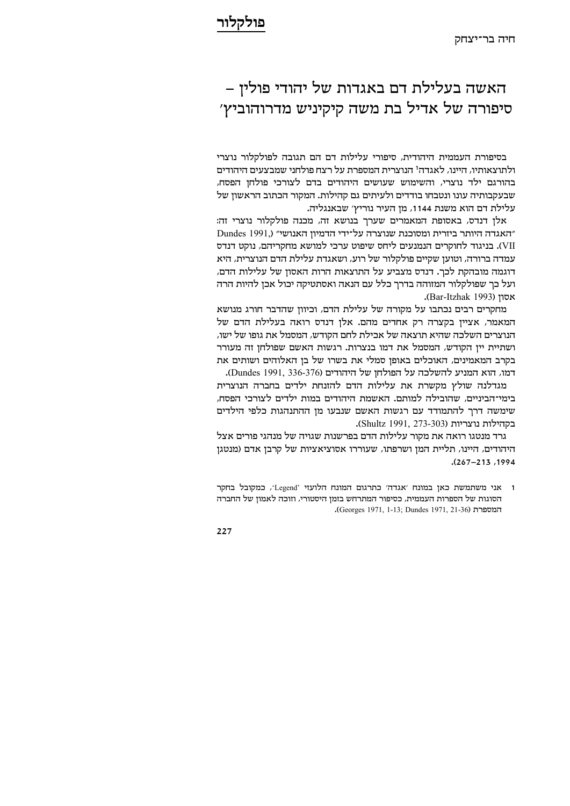## האשה בעלילת דם באגדות של יהודי פולין – 'סיפורה של אדיל בת משה קיקיניש מדרוהוביץ

בסיפורת העממית היהודית, סיפורי עלילות דם הם תגובה לפולקלור נוצרי ולתוצאותיו, היינו, לאגדה<sup>ו</sup> הנוצרית המספרת על רצח פולחני שמבצעים היהודים בהורגם ילד נוצרי, והשימוש שעושים היהודים בדם לצורכי פולחן הפסח, שבעקבותיה עונו ונטבחו בודדים ולעיתים גם קהילות. המקור הכתוב הראשון של עלילת דם הוא משנת 1144, מן העיר נוריץ' שבאנגליה.

אלן דנדס, באסופת המאמרים שערך בנושא זה, מכנה פולקלור נוצרי זה: Dundes 1991,) "האגדה היותר ביזרית ומסוכנת שנוצרה על־ידי הדמיון האנושי" VII). בניגוד לחוקרים הנמנעים ליחס שיפוט ערכי למושא מחקריהם, נוקט דנדס עמדה ברורה, וטוען שקיים פולקלור של רוע, ושאגדת עלילת הדם הנוצרית, היא דוגמה מובהקת לכך. דנדס מצביע על התוצאות הרות האסון של עלילות הדם, ועל כך שפולקלור המזוהה בדרך כלל עם הנאה ואסתטיקה יכול אכן להיות הרה .(Bar-Itzhak 1993)

מחקרים רבים נכתבו על מקורה של עלילת הדם, וכיוון שהדבר חורג מנושא המאמר, אצייו בקצרה רק אחדים מהם. אלו דנדס רואה בעלילת הדם של הנוצרים השלכה שהיא תוצאה של אכילת לחם הקודש, המסמל את גופו של ישו, ושתיית יין הקודש, המסמל את דמו בנצרות. רגשות האשם שפולחן זה מעורר בקרב המאמינים, האוכלים באופן סמלי את בשרו של בן האלוהים ושותים את דמו, הוא המניע להשלכה על הפולחן של היהודים (Dundes 1991, 336-376).

מגדלנה שולץ מקשרת את עלילות הדם להזנחת ילדים בחברה הנוצרית בימי־הביניים, שהובילה למותם. האשמת היהודים במות ילדים לצורכי הפסח, שימשה דרך להתמודד עם רגשות האשם שנבעו מן ההתנהגות כלפי הילדים .(Shultz 1991, 273-303) בקהילות נוצריות

גרד מנטגו רואה את מקור עלילות הדם בפרשנות שגויה של מנהגי פורים אצל היהודים, היינו, תליית המן ושרפתו, שעוררו אסוציאציות של קרבן אדם (מנטגן .(267-213 ,1994

<sup>1</sup> אני משתמשת כאן במונח 'אגדה' כתרגום המונח הלועזי 'Legend', כמקובל בחקר הסוגות של הספרות העממית, כסיפור המתרחש בזמן היסטורי, וזוכה לאמון של החברה .(Georges 1971, 1-13; Dundes 1971, 21-36)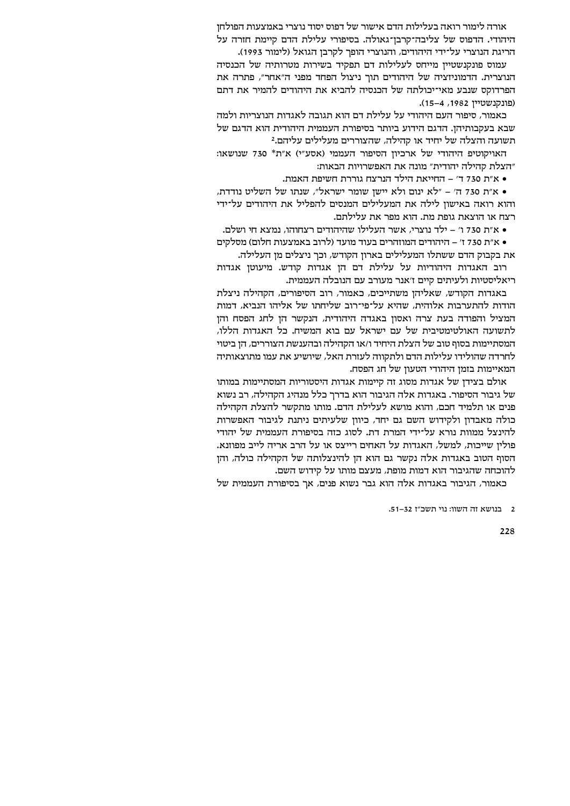אורה לימור רואה בעלילות הדם אישור של דפוס יסוד נוצרי באמצעות הפולחן היהודי. הדפוס של צליבה־קרבן־גאולה. בסיפורי עלילת הדם קיימת חזרה על הריגת הנוצרי על־ידי היהודים, והנוצרי הופך לקרבן הגואל (לימור 1993).

עמוס פונקנשטיין מייחס לעלילות דם תפקיד בשירות מטרותיה של הכנסיה הנוצרית. הדמוניזציה של היהודים תוך ניצול הפחד מפני ה״אחר״, פתרה את הפרדוקס שנבע מאי־יכולתה של הכנסיה להביא את היהודים להמיר את דתם (פונקנשטיין 1982, 4-15).

כאמור, סיפור העם היהודי על עלילת דם הוא תגובה לאגדות הנוצריות ולמה שבא בעקבותיהן. הדגם הידוע ביותר בסיפורת העממית היהודית הוא הדגם של תשועה והצלה של יחיד או קהילה, שהצוררים מעלילים עליהם.2

האויקוטיפ היהודי של ארכיון הסיפור העממי (אסע"י) א"ת\* 730 שנושאו: "הצלת קהילה יהודית" מונה את האפשרויות הבאות:

• א״ת 730 ד׳ – החייאת הילד הנרצח גוררת חשיפת האמת.

• א״ת 730 ה׳ – ״לא ינום ולא יישו שומר ישראל״, שנתו של השליט נודדת, והוא רואה באישון לילה את המעלילים המנסים להפליל את היהודים על־ידי רצח או הוצאת גופת מת. הוא מפר את עלילתם.

• א״ת 730 ו׳ – ילד נוצרי. אשר העלילו שהיהודים רצחוהו. נמצא חי ושלם.

• א״ת 730 ז׳ – היהודים המוזהרים בעוד מועד (לרוב באמצעות חלום) מסלקים את בקבוק הדם ששתלו המעלילים בארון הקודש, וכך ניצלים מן העלילה.

רוב האגדות היהודיות על עלילת דם הן אגדות קודש. מיעוטן אגדות ריאליסטיות ולעיתים קיים ז׳אנר מעורב עם הנובלה העממית.

באגדות הקודש, שאליהן משתייכים, כאמור, רוב הסיפורים, הקהילה ניצלת הודות להתערבות אלוהית, שהיא על־פי־רוב שליחתו של אליהו הנביא, דמות המציל והפודה בעת צרה ואסון באגדה היהודית, הנקשר הן לחג הפסח והן לתשועה האולטימטיבית של עם ישראל עם בוא המשיח. כל האגדות הללו, המסתיימות בסוף טוב של הצלת היחיד ו/או הקהילה ובהענשת הצוררים, הז ביטוי לחרדה שהולידו עלילות הדם ולתקווה לעזרת האל, שיושיע את עמו מתוצאותיה המאיימות בזמן היהודי הטעון של חג הפסח.

אולם בצידו של אגדות מסוג זה קיימות אגדות היסטוריות המסתיימות במותו של גיבור הסיפור. באגדות אלה הגיבור הוא בדרך כלל מנהיג הקהילה, רב נשוא פנים או תלמיד חכם, והוא מושא לעלילת הדם. מותו מתקשר להצלת הקהילה כולה מאבדוז ולקידוש השם גם יחד, כיווז שלעיתים ניתנת לגיבור האפשרות להינצל ממוות נורא על־ידי המרת דת. לסוג כזה בסיפורת העממית של יהודי פולין שייכות, למשל, האגדות על האחים רייצס או על הרב אריה לייב מפוזנא. הסוף הטוב באגדות אלה נקשר גם הוא הן להינצלותה של הקהילה כולה, והן להוכחה שהגיבור הוא דמות מופת, מעצם מותו על קידוש השם.

כאמור, הגיבור באגדות אלה הוא גבר נשוא פנים, אך בסיפורת העממית של

? - רוושא זה השוו: ווי תשר״ז גב-51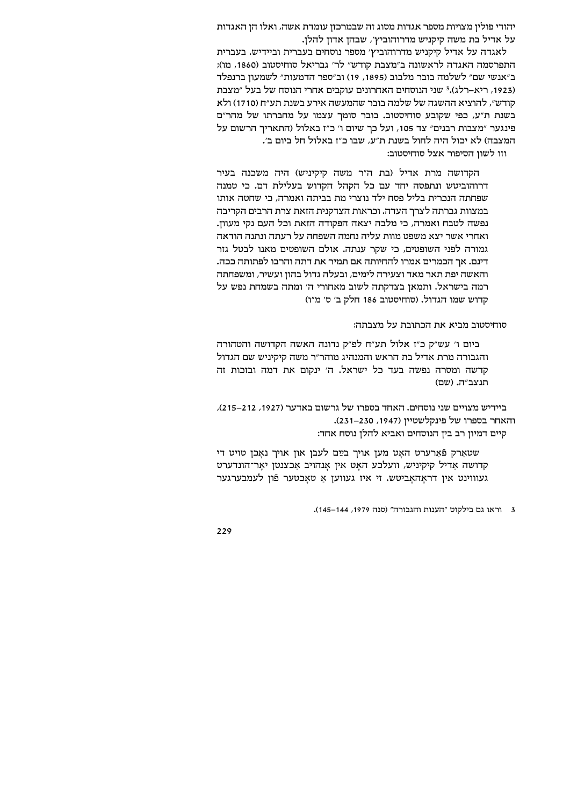יהודי פולין מצויות מספר אגדות מסוג זה שבמרכזן עומדת אשה, ואלו הן האגדות על אדיל בת משה קיקניש מדרוהוביץ', שבהן אדון להלן.

לאגדה על אדיל קיקניש מדרוהוביץ' מספר נוסחים בעברית וביידיש. בעברית התפרסמה האגדה לראשונה ב"מצבת קודש" לר' גבריאל סוחיסטוב (1860, מו); ב״אנשי שם״ לשלמה בובר מלבוב (1895, 19) וב״ספר הדמעות״ לשמעון ברנפלד (1923, ריא–רלג).<sup>3</sup> שני הנוסחים האחרונים עוקבים אחרי הנוסח של בעל "מצבת קודש", להוציא ההשגה של שלמה בובר שהמעשה אירע בשנת תע"ח (1710) ולא בשנת ת״ע, כפי שקובע סוחיסטוב. בובר סומר עצמו על מחברתו של מהר״ם פינגער "מצבות רבנים" צד 105, ועל כך שיום ו' כ"ז באלול (התאריך הרשום על המצבה) לא יכול היה לחול בשנת ת"ע, שבו כ"ז באלול חל ביום ב׳.

וזו לשון הסיפור אצל סוחיסטוב:

הקדושה מרת אדיל (בת ה"ר משה קיקיניש) היה משכנה בעיר דרוהוביטש ונתפסה יחד עם כל הקהל הקדוש בעלילת דם. כי טמנה שפחתה הנכרית בליל פסח ילד נוצרי מת בביתה ואמרה, כי שחטה אותו במצוות גברתה לצרך העדה. וכראות הצדקנית הזאת צרת הרבים הקריבה נפשה לטבח ואמרה, כי מלבה יצאה הפקודה הזאת וכל העם נקי מעוון. ואחרי אשר יצא משפט מוות עליה נחמה השפחה על רעתה ונתנה הודאה גמורה לפני השופטים, כי שקר ענתה. אולם השופטים מאנו לבטל גזר דינם. אך הכמרים אמרו להחיותה אם תמיר את דתה והרבו לפתותה ככה. והאשה יפת תאר מאד וצעירה לימים, ובעלה גדול בהון ועשיר, ומשפחתה רמה בישראל. ותמאן בצדקתה לשוב מאחורי ה׳ ומתה בשמחת נפש על קדוש שמו הגדול. (סוחיסטוב 186 חלק ב׳ ס׳ מ״ו)

סוחיסטוב מביא את הכתובת על מצבתה:

ביום ו' עש"ק כ"ז אלול תע"ח לפ"ק נדונה האשה הקדושה והטהורה והגבורה מרת אדיל בת הראש והמנהיג מוהר״ר משה קיקיניש שם הגדול קדשה ומסרה נפשה בעד כל ישראל. ה' ינקום את דמה ובזכות זה תנצב״ה, (שם)

ביידיש מצויים שני נוסחים. האחד בספרו של גרשום באדער (1927, 212–215), והאחר בספרו של פינקלשטיין (1947, 230–231). קיים דמיון רב בין הנוסחים ואביא להלן נוסח אחד:

שטאַרק פֿאַרערט האַט מען אויך בײַם לעבן און אויך נאַכן טויט די קדושה אַדיל קיקיניש, וועלכע האַט אין אַנהויב אַכצנטן יאַר־הונדערט געוווינט איו דראהאביטש. זי איז געוועז א טאכטער פֿוז לעמבערגער

<sup>3</sup> וראו גם בילקוט "הענות והגבורה" (סנה 1979, 144–145).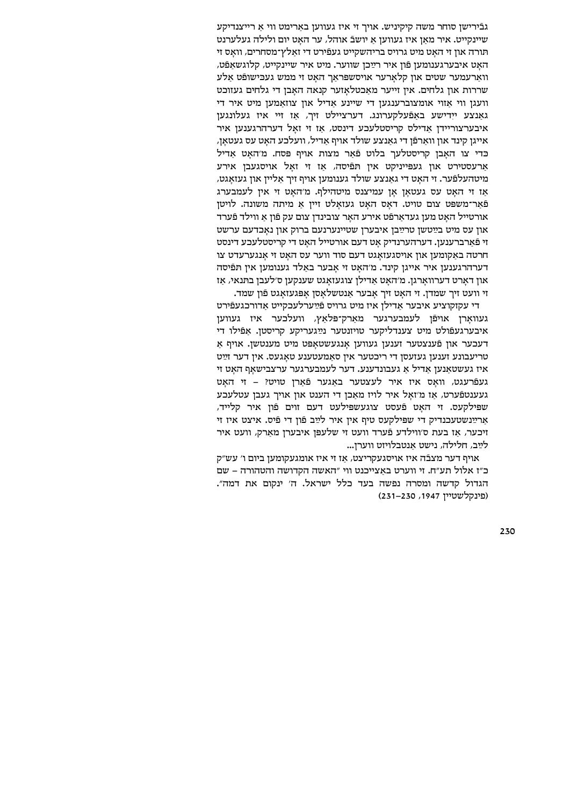גבֿירישן סוחר משה קיקיניש. אויך זי איז געווען באַרימט ווי אַ רייצנדיקע שיינקייט. איר מאן איז געווען א יושבֿ אוהל, ער האט יום ולילה געלערנט תּורה און זי האַט מיט גרויס בריהשקייט געפֿירט די זאַלץ־מסחרים, וואַס זי האט איבערגענומען פֿון איר רײַכן שווער. מיט איר שיינקייט, קלוגשאפֿט, ווארעמער שטים און קלארער אויסשפראך האט זי ממש געבישופֿט אלע שררות און גלחים. אין זייער מאכטלאזער קנאה האבן די גלחים געזוכט וועגן ווי אזוי אומצוברענגען די שיינע אדיל און צוזאמען מיט איר די גאנצע יידישע באפֿעלקערונג. דערציילט זיך, אז זיי איז געלונגעז איבערצוריידן אַדילס קריסטלעכע דינסט, אַז זי זאָל דערהרגענען איר אייגן קינד און וואַרפֿן די גאַנצע שולד אויף אַדיל, וועלכע האַט עס געטאַן, כּדי צו האבן קריסטלער בלוט פֿאר מצות אויף פּסח, מ׳האט אדיל ארעסטירט און געפייניקט אין תפיסה, אז זי זאל אויסגעבן אירע מיטהעלפֿער. זי האט די גאנצע שולד גענומען אויף זיך אליין און געזאגט, אז זי האט עס געטאן אן עמיצנס מיטהילף. מ׳האט זי אין לעמבערג פֿאַר־משפּט צום טויט. דאַס האַט געזאַלט זיין אַ מיתה משונה. לויטן אורטייל האט מען געדארפֿט אירע האר צובינדן צום עק פֿון א ווילד פֿערד און עס מיט בײַטשן טרײַבן איבערן שטיינערנעם ברוק און נאכדעם ערשט זי פֿארברענעז. דערהערנדיק אט דעם אורטייל האט די קריסטלעכע דינסט חרטה באַקומען און אויסגעזאַגט דעם סוד ווער עס האַט זי אַנגערעדט צו דערהרגענען איר אייגן קינד. מ׳האט זי אבער באלד גענומען אין תּפֿיסה און דארט דערווארגן. מ׳האט אדילן צוגעזאגט שענקען ס׳לעבן בתּנאי, אז זי וועט זיך שמדן. זי האט זיך אבער אנטשלאסן אפגעזאגט פֿון שמד.

די עקזקוציע איבער אדילן איז מיט גרויס פֿײַערלעכקייט אדורכגעפֿירט געוואַרן אויפֿן לעמבערגער מאַרק־פּלאַץ, וועלכער איז געווען איבערגעפֿולט מיט צענדליקער טויזנטער נײַגעריקע קריסטן. אפֿילו די דעכער אוז פֿענצטער זענעז געוועז אנגעשטאפּט מיט מענטשז. אויף א טריעבונע זענען געזעסן די ריכטער אין סאַמעטענע טאַגעס. אין דער זײַט איז געשטאַנען אַדיל אַ געבונדענע. דער לעמבערגער ערצבישאַף האַט זי געפֿרעגט, וואס איז איר לעצטער באגער פֿארן טויט? – זי האט געענטפֿערט, אז מ׳זאל איר לויז מאכן די הענט און אויך געבן עטלעכע שפילקעס. זי האט פֿעסט צוגעשפּילעט דעם זוים פֿון איר קלייד, ארײַנשטעכנדיק די שפילקעס טיף אין איר לײַב פֿון די פֿיס. איצט איז זי זיכער, אז בעת ס׳ווילדע פֿערד וועט זי שלעפּז איבערז מארק, וועט איר לײַב, חלילה, נישט אַנטבלויזט ווערן...

אויף דער מצבֿה איז אויסגעקריצט, אַז זי איז אומגעקומען ביום ו' עש"ק ב"ז אלול תע"ח. זי ווערט באצייכנט ווי "האשה הקדושה והטהורה – שם הגדול קדשה ומסרה נפשה בעד כלל ישראל. ה׳ ינקום את דמה״. (פינקלשטיין 1947, 230–231)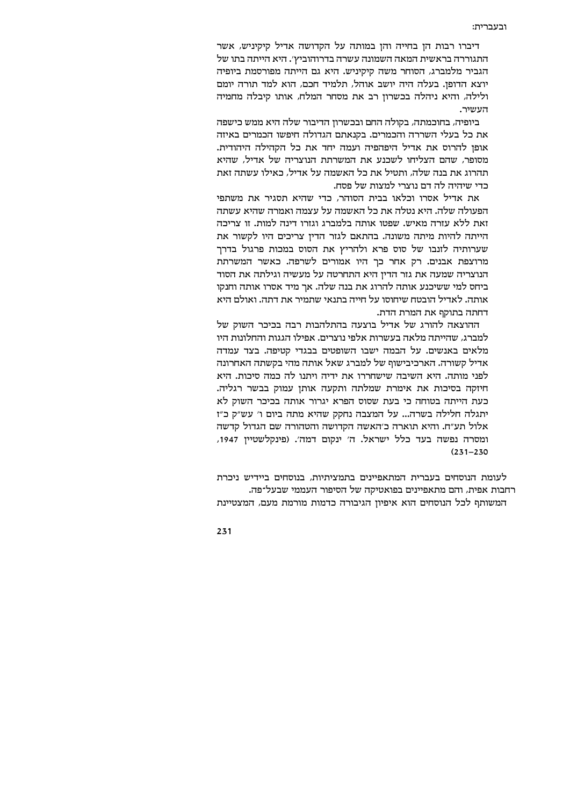דיברו רבות הן בחייה והן במותה על הקדושה אדיל קיקיניש, אשר התגוררה בראשית המאה השמונה עשרה בדרוהוביץ׳. היא הייתה בתו של הגביר מלמברג, הסוחר משה קיקיניש. היא גם הייתה מפורסמת ביופיה יוצא הדופן. בעלה היה יושב אוהל, תלמיד חכם, הוא למד תורה יומם ולילה, והיא ניהלה בכשרון רב את מסחר המלח, אותו קיבלה מחמיה העשיר.

ביופיה, בחוכמתה, בקולה החם ובכשרון הדיבור שלה היא ממש כישפה את כל בעלי השררה והכמרים. בקנאתם הגדולה חיפשו הכמרים באיזה אופו להרוס את אדיל היפהפיה ועמה יחד את כל הקהילה היהודית. מסופר, שהם הצליחו לשכנע את המשרתת הנוצריה של אדיל, שהיא תהרוג את בנה שלה. ותטיל את כל האשמה על אדיל. כאילו עשתה זאת כדי שיהיה לה דם נוצרי למצות של פסח.

את אדיל אסרו וכלאו בבית הסוהר, כדי שהיא תסגיר את משתפי הפעולה שלה. היא נטלה את כל האשמה על עצמה ואמרה שהיא עשתה זאת ללא עזרה מאיש. שפטו אותה בלמברג וגזרו דינה למות. זו צריכה הייתה להיות מיתה משונה. בהתאם לגזר הדין צריכים היו לקשור את שערותיה לזנבו של סוס פרא ולהריץ את הסוס במכות פרגול בדרך מרוצפת אבנים. רק אחר כך היו אמורים לשרפה. כאשר המשרתת הנוצריה שמעה את גזר הדין היא התחרטה על מעשיה וגילתה את הסוד ביחס למי ששיכנע אותה להרוג את בנה שלה. אך מיד אסרו אותה וחנקו אותה. לאדיל הובטח שיחוסו על חייה בתנאי שתמיר את דתה. ואולם היא דחתה בתוקף את המרת הדת.

ההוצאה להורג של אדיל בוצעה בהתלהבות רבה בכיכר השוק של למברג, שהייתה מלאה בעשרות אלפי נוצרים. אפילו הגגות והחלונות היו מלאים באנשים. על הבמה ישבו השופטים בבגדי קטיפה. בצד עמדה אדיל קשורה. הארכיבישוף של למברג שאל אותה מהי בקשתה האחרונה לפני מותה. היא השיבה שישחררו את ידיה ויתנו לה כמה סיכות. היא חיזקה בסיכות את אימרת שמלתה ותקעה אותן עמוק בבשר רגליה. כעת הייתה בטוחה כי בעת שסוס הפרא יגרור אותה בכיכר השוק לא יתגלה חלילה בשרה... על המצבה נחקק שהיא מתה ביום ו' עש"ק כ"ז אלול תע״ח. והיא תוארה כ׳האשה הקדושה והטהורה שם הגדול קדשה ומסרה נפשה בעד כלל ישראל. ה' ינקום דמה'. (פינקלשטיין 1947,  $(231 - 230)$ 

לעומת הנוסחים בעברית המתאפיינים בתמציתיות, בנוסחים ביידיש ניכרת רחבות אפית, והם מתאפיינים בפואטיקה של הסיפור העממי שבעל־פה. המשותף לכל הנוסחים הוא איפיון הגיבורה כדמות מורמת מעם, המצטיינת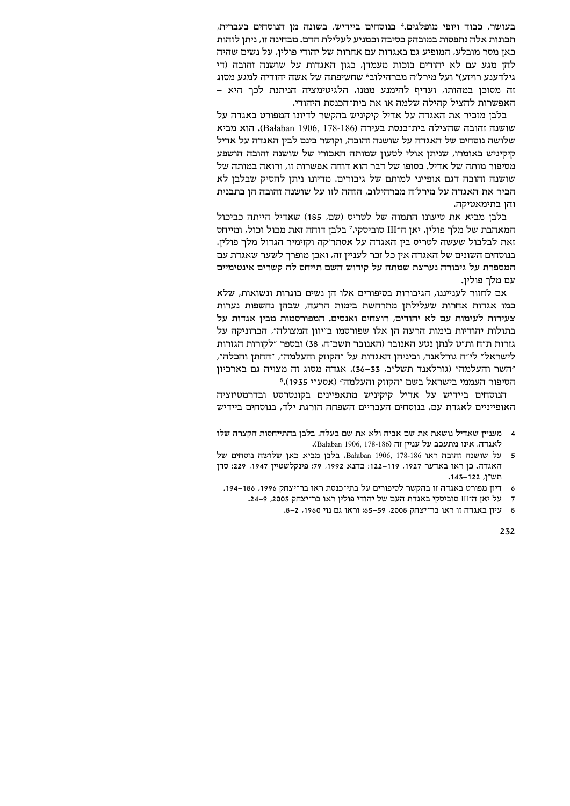בעושר, כבוד ויופי מופלגים.<del>"</del> בנוסחים ביידיש, בשונה מן הנוסחים בעברית, תכונות אלה נתפסות במובהק כסיבה וכמניע לעלילת הדם. מבחינה זו, ניתן לזהות כאן מסר מובלע, המופיע גם באגדות עם אחרות של יהודי פולין, על נשים שהיה להן מגע עם לא יהודים בזכות מעמדן, כגון האגדות על שושנה זהובה (די גילדענע רויזע)<sup>5</sup> ועל מירל׳ה מברהילובª שחשיפתה של אשה יהודיה למגע מסוג ה מסוכן במהותו, ועדיף להימנע ממנו. הלגיטימציה הניתנת לכך היא -האפשרות להציל קהילה שלמה או את בית־הכנסת היהודי.

בלבו מזכיר את האגדה על אדיל קיקיניש בהקשר לדיונו המפורט באגדה על שושנה זהובה שהצילה בית־כנסת בעירה (186-178, 1906). הוא מביא שלושה נוסחים של האגדה על שושנה זהובה, וקושר בינם לבין האגדה על אדיל היקיניש באומרו, שניתן אולי לטעון שמותה האכזרי של שושנה זהובה הושפע מסיפור מותה של אדיל. בסופו של דבר הוא דוחה אפשרות זו, ורואה במותה של שושנה זהובה דגם אופייני למותם של גיבורים. מדיונו ניתן להסיק שבלבן לא הכיר את האגדה על מירל׳ה מברהילוב, הזהה לזו על שושנה זהובה הז בתבנית והן בתימאטיקה.

בלבן מביא את טיעונו התמוה של לטריס (שם, 185) שאדיל הייתה כביכול המאהבת של מלך פולין, יאן ה־III סוביסקי.<sup>7</sup> בלבן דוחה זאת מכול וכול, ומייחס .ואת לבלבול שעשה לטריס בין האגדה על אסתר׳קה וקזימיר הגדול מלך פולין בנוסחים השונים של האגדה אין כל זכר לעניין זה, ואכן מופרך לשער שאגדת עם המספרת על גיבורה נערצת שמתה על קידוש השם תייחס לה קשרים אינטימיים עם מלר פוליז.

אם לחזור לענייננו, הגיבורות בסיפורים אלו הן נשים בוגרות ונשואות, שלא כמו אגדות אחרות שעלילתן מתרחשת בימות הרעה, שבהן נחשפות נערות צעירות לעימות עם לא יהודים, רוצחים ואנסים. המפורסמות מבין אגדות על בתולות יהודיות בימות הרעה הן אלו שפורסמו ב"יוון המצולה", הכרוניקה על גזרות ת״ח ות״ט לנתז נטע האנובר (האנובר תשכ״ח, 38) ובספר ״לקורות הגזרות לישראל" לי"ח גורלאנד, וביניהן האגדות על "הקוזק והעלמה", "החתן והכלה", השר והעלמה" (גורלאנד תשל"ב, 33–36). אגדה מסוג זה מצויה גם בארכיון  $8.$ (1935 הסיפור העממי בישראל בשם "הקוזק והעלמה" (אסע"י

הנוסחים ביידיש על אדיל קיקיניש מתאפיינים בקונטרסט ובדרמטיזציה האופייניים לאגדת עם. בנוסחים העבריים השפחה הורגת ילד, בנוסחים ביידיש

- טל שושנה זהובה ראו 186-178, 1906, 178-186 . בלבן מביא כאן שלושה נוסחים של האגדה. כן ראו באדער 1927, 119–112; כהנא 1992, 79; פינקלשטיין 1947, 229; סדן תש״ן, 122–143.
	- 6 דיון מפורט באגדה זו בהקשר לסיפורים על בתי־כנסת ראו בר־יצחק 1996, 186–194.
		- 7 על יאן ה־III סוביסקי באגדת העם של יהודי פולין ראו בר־יצחק 2003, 9–24.
			- 8 2 עיוז באגדה זו ראו בר־יצחק 2008, 59–55; וראו גם נוי

מענייז שאדיל נושאת את שם אביה ולא את שם בעלה. בלבז בהתייחסות הקצרה שלו .(Bałaban 1906, 178-186) לאגדה, אינו מתעכב על עניין זה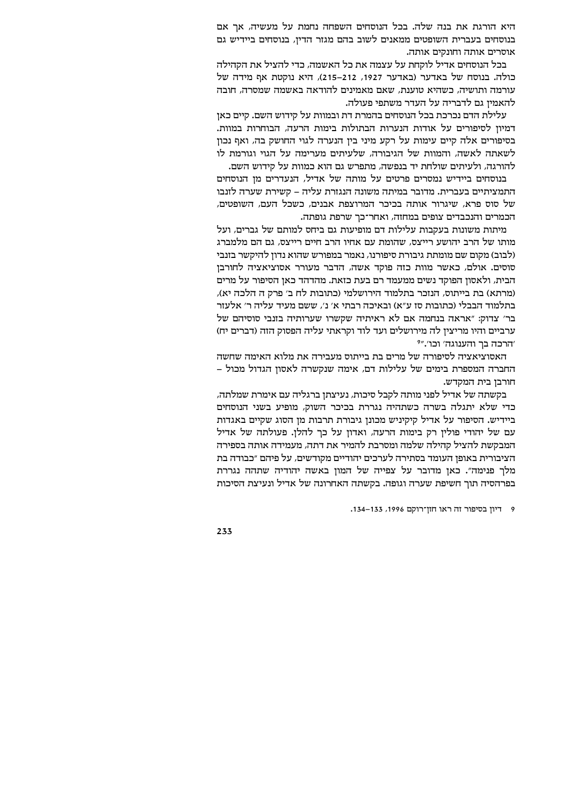היא הורגת את בנה שלה. בכל הנוסחים השפחה נחמת על מעשיה, אך אם בנוסחים בעברית השופטים ממאנים לשוב בהם מגזר הדין, בנוסחים ביידיש גם אוסרים אותה וחונקים אותה.

בכל הנוסחים אדיל לוקחת על עצמה את כל האשמה, כדי להציל את הקהילה כולה. בנוסח של באדער (באדער 1927, 212–215), היא נוקטת אף מידה של עורמה ותושיה, כשהיא טוענת, שאם מאמינים להודאה באשמה שמסרה, חובה להאמיו גם לדבריה על העדר משתפי פעולה.

עלילת הדם נכרכת בכל הנוסחים בהמרת דת ובמוות על קידוש השם. קיים כאן דמיון לסיפורים על אודות הנערות הבתולות בימות הרעה, הבוחרות במוות. בסיפורים אלה קיים עימות על רקע מיני בין הנערה לגוי החושק בה, ואף נכון לשאתה לאשה, והמוות של הגיבורה, שלעיתים מערימה על הגוי וגורמת לו להורגה, ולעיתים שולחת יד בנפשה, מתפרש גם הוא כמוות על קידוש השם.

בנוסחים ביידיש נמסרים פרטים על מותה של אדיל, הנעדרים מן הנוסחים התמציתיים בעברית. מדובר במיתה משונה הנגזרת עליה – קשירת שערה לזנבו של סוס פרא, שיגרור אותה בכיכר המרוצפת אבנים, כשכל העם, השופטים, הכמרים והנכבדים צופים במחזה, ואחר־כך שרפת גופתה.

מיתות משונות בעקבות עלילות דם מופיעות גם ביחס למותם של גברים, ועל מותו של הרב יהושע רייצס, שהומת עם אחיו הרב חיים רייצס, גם הם מלמברג (לבוב) מקום שם מומתת גיבורת סיפורנו, נאמר במפורש שהוא נדון להיקשר בזנבי סוסים. אולם, כאשר מוות כזה פוקד אשה, הדבר מעורר אסוציאציה לחורבן הבית, ולאסון הפוקד נשים ממעמד רם בעת כזאת. מהדהד כאן הסיפור על מרים (מרתא) בת בייתוס, הנזכר בתלמוד הירושלמי (כתובות לח ב׳ פרק ה הלכה יא), בתלמוד הבבלי (כתובות סז ע"א) ובאיכה רבתי א' נ', ששם מעיד עליה ר' אלעזר בר' צדוק: "אראה בנחמה אם לא ראיתיה שקשרו שערותיה בזנבי סוסיהם של ערביים והיו מריצין לה מירושלים ועד לוד וקראתי עליה הפסוק הזה (דברים יח) יהרכה בר והענוגה׳ וכו׳."?

האסוציאציה לסיפורה של מרים בת בייתוס מעבירה את מלוא האימה שחשה החברה המספרת בימים של עלילות דם, אימה שנקשרה לאסון הגדול מכול -חורבו בית המקדש.

בקשתה של אדיל לפני מותה לקבל סיכות, נעיצתן ברגליה עם אימרת שמלתה, כדי שלא יתגלה בשרה כשתהיה נגררת בכיכר השוק, מופיע בשני הנוסחים ביידיש. הסיפור על אדיל קיקיניש מכונן גיבורת תרבות מן הסוג שקיים באגדות עם של יהודי פולין רק בימות הרעה, ואדון על כך להלן. פעולתה של אדיל המבקשת להציל קהילה שלמה ומסרבת להמיר את דתה, מעמידה אותה בספירה הציבורית באופן העומד בסתירה לערכים יהודיים מקודשים, על פיהם "כבודה בת מלר פנימה". כאן מדובר על צפייה של המון באשה יהודיה שתהה נגררת בפרהסיה תוך חשיפת שערה וגופה. בקשתה האחרונה של אדיל ונעיצת הסיכות

9 - דיוז בסיפור זה ראו חזד־רוקם 1996, 133–134.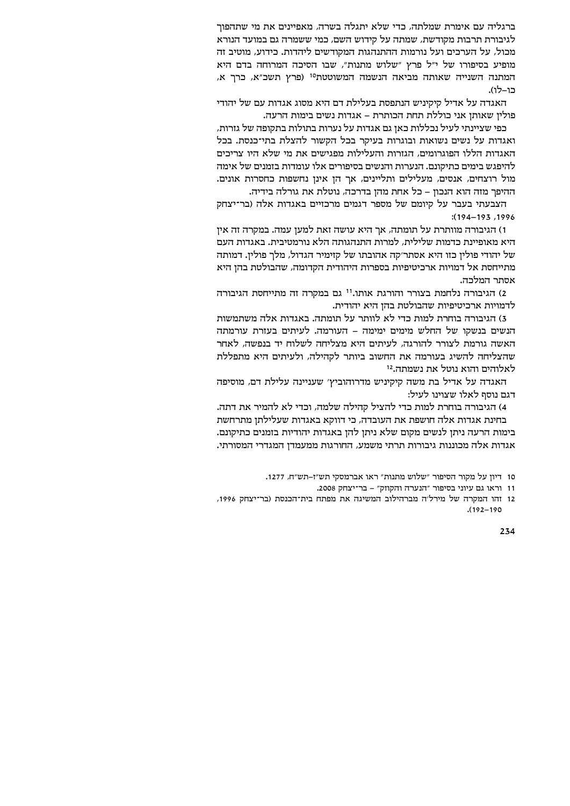ברגליה עם אימרת שמלתה, כדי שלא יתגלה בשרה, מאפיינים את מי שתהפוך לגיבורת תרבות מקודשת, שמתה על קידוש השם, כמי ששמרה גם במועד הנורא מכול, על הערכים ועל נורמות ההתנהגות המקודשים ליהדות. כידוע, מוטיב זה מופיע בסיפורו של י"ל פרץ "שלוש מתנות", שבו הסיכה המרוחה בדם היא המתנה השנייה שאותה מביאה הנשמה המשוטטת<sup>10</sup> (פרץ תשכ"א, כרך א, כו-לו).

האגדה על אדיל קיקיניש הנתפסת בעלילת דם היא מסוג אגדות עם של יהודי פוליו שאותו אני כוללת תחת הכותרת – אגדות נשים בימות הרעה.

כפי שציינתי לעיל נכללות כאן גם אגדות על נערות בתולות בתקופה של גזרות, ואגדות על נשים נשואות ובוגרות בעיקר בכל הקשור להצלת בתי־כנסת. בכל האגדות הללו הפוגרומים, הגזרות והעלילות מפגישים את מי שלא היו צריכים להיפגש בימים כתיקונם. הנערות והנשים בסיפורים אלו עומדות בזמנים של אימה מול רוצחים, אנסים, מעלילים ותליינים, אך הן אינן נחשפות כחסרות אונים. ההיפך מזה הוא הנכון – כל אחת מהן בדרכה, נוטלת את גורלה בידיה.

הצבעתי בעבר על קיומם של מספר דגמים מרכזיים באגדות אלה (בר־יצחק  $(194 - 193, 1996)$ 

ו) הגיבורה מוותרת על תומתה, אך היא עושה זאת למען עמה. במקרה זה אין היא מאופיינת כדמות שלילית, למרות התנהגותה הלא נורמטיבית. באגדות העם של יהודי פולין כזו היא אסתר׳קה אהובתו של קזימיר הגדול, מלך פולין. דמותה מתייחסת אל דמויות ארכיטיפיות בספרות היהודית הקדומה, שהבולטת בהן היא אסתר המלכה.

2) הגיבורה נלחמת בצורר והורגת אותו.<sup>11</sup> גם במקרה זה מתייחסת הגיבורה לדמויות ארכיטיפיות שהבולטת בהן היא יהודית.

3) הגיבורה בוחרת למות כדי לא לוותר על תומתה. באגדות אלה משתמשות הנשים בנשקו של החלש מימים ימימה – העורמה. לעיתים בעזרת עורמתה האשה גורמת לצורר להורגה, לעיתים היא מצליחה לשלוח יד בנפשה, לאחר שהצליחה להשיג בעורמה את החשוב ביותר לקהילה, ולעיתים היא מתפללת לאלוהים והוא נוטל את נשמתה.<sup>12</sup>

האגדה על אדיל בת משה קיקיניש מדרוהוביץ' שעניינה עלילת דם, מוסיפה דגם נוסף לאלו שצוינו לעיל:

4) הגיבורה בוחרת למות כדי להציל קהילה שלמה, וכדי לא להמיר את דתה. בחינת אגדות אלה חושפת את העובדה, כי דווקא באגדות שעלילתן מתרחשת בימות הרעה ניתן לנשים מקום שלא ניתן להן באגדות יהודיות בזמנים כתיקונם. אגדות אלה מכוננות גיבורות תרתי משמע, החורגות ממעמדן המגדרי המסורתי.

12 זהו המקרה של מירל׳ה מברהילוב המשיגה את מפתח בית־הכנסת (בר־יצחק 1996,  $(192 - 190)$ 

<sup>10</sup> דיון על מקור הסיפור "שלוש מתנות" ראו אברמסקי תש"ז-תש"ח, 1277.

<sup>11</sup> וראו גם עיוני בסיפור "הנערה והקוזק" - בר־יצחק 2008.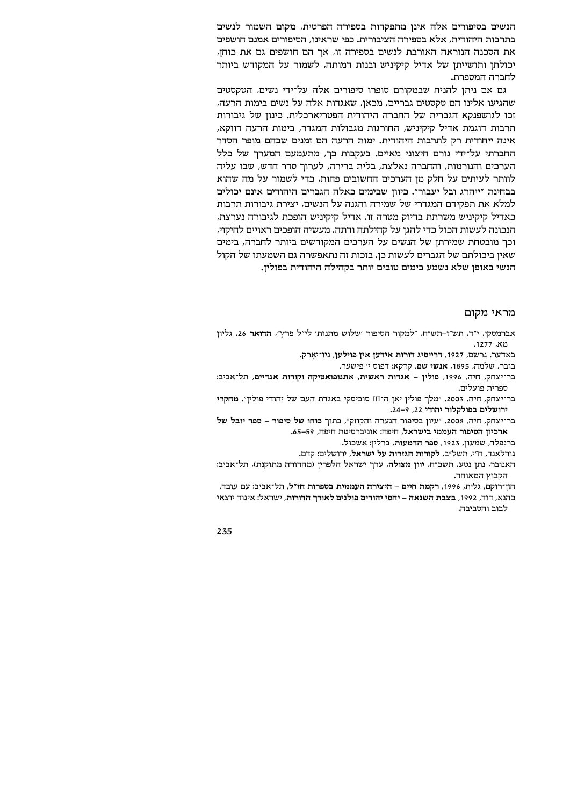הנשים בסיפורים אלה אינן מתפקדות בספירה הפרטית, מקום השמור לנשים בתרבות היהודית, אלא בספירה הציבורית. כפי שראינו, הסיפורים אמנם חושפים את הסכנה הנוראה האורבת לנשים בספירה זו, אך הם חושפים גם את כוחן, יכולתן ותושייתן של אדיל קיקיניש ובנות דמותה, לשמור על המקודש ביותר לחברה המספרת.

גם אם ניתן להניח שבמקורם סופרו סיפורים אלה על־ידי נשים, הטקסטים שהגיעו אלינו הם טקסטים גבריים. מכאן, שאגדות אלה על נשים בימות הרעה, זכו לגושפנקא הגברית של החברה היהודית הפטריארכלית. כינוז של גיבורות תרבות דוגמת אדיל קיקיניש, החורגות מגבולות המגדר, בימות הרעה דווקא, אינה ייחודית רק לתרבות היהודית. ימות הרעה הם זמנים שבהם מופר הסדר החברתי על־ידי גורם חיצוני מאיים. בעקבות כר, מתעמעם המערר של כלל הערכים והנורמות, והחברה נאלצת, בלית ברירה, לערור סדר חדש, שבו עליה לוותר לעיתים על חלק מן הערכים החשובים פחות, כדי לשמור על מה שהוא בבחינת "ייהרג ובל יעבור". כיוון שבימים כאלה הגברים היהודים אינם יכולים למלא את תפקידם המגדרי של שמירה והגנה על הנשים, יצירת גיבורות תרבות כאדיל קיקיניש משרתת בדיוק מטרה זו. אדיל קיקיניש הופכת לגיבורה נערצת, הנכונה לעשות הכול כדי להגן על קהילתה ודתה. מעשיה הופכים ראויים לחיקוי, וכר מובטחת שמירתו של הנשים על הערכים המקודשים ביותר לחברה, בימים שאין ביכולתם של הגברים לעשות כן. בזכות זה נתאפשרה גם השמעתו של הקול הנשי באופן שלא נשמע בימים טובים יותר בקהילה היהודית בפולין.

## מראי מקום

אברמסקי, י"ד, תש"ז-תש"ח, "למקור הסיפור 'שלוש מתנות' לי"ל פרץ", הדואר 26, גליון מא, 1277.

באדער, גרשם, 1927, דרײַסיג דורות אידעז איז פּוילעז, ניו־יארק.

בובר, שלמה, 1895, אנשי שם, קרקא: דפוס י' פישער.

בר־יצחק, חיה, 1996, פולין - אגדות ראשית, אתנופואטיקה וקורות אגדיים, תל־אביב: חתריה תועליה.

בר־יצחק, חיה, 2003, "מלך פולין יאן ה־III סוביסקי באגדת העם של יהודי פולין", מחקרי ירושלים בפולקלור יהודי 22, 9-24.

בר־יצחק, חיה, 2008, "עיון בסיפור הנערה והקוזק", בתוך כוחו של סיפור – ספר יובל של ארכיון הסיפור העממי בישראל, חיפה: אוניברסיטת חיפה, 59–65.

ברנפלד, שמעון, 1923, ספר הדמעות, ברלין: אשכול.

גורלאנד, ח"י, תשל"ב, לקורות הגזרות על ישראל, ירושלים: קדם.

האנובר, נתן נטע, תשכ"ח, יוון מצולה, ערך ישראל הלפרין (מהדורה מתוקנת), תל־אביב: הקבוץ המאוחד.

חזן־רוקם, גלית, 1996, רקמת חיים – היצירה העממית בספרות חז״ל, תל־אביב: עם עובד. כהנא, דוד, 1992, בצבת השנאה – יחסי יהודים פולנים לאורך הדורות, ישראל: איגוד יוצאי לרור והחרירה.